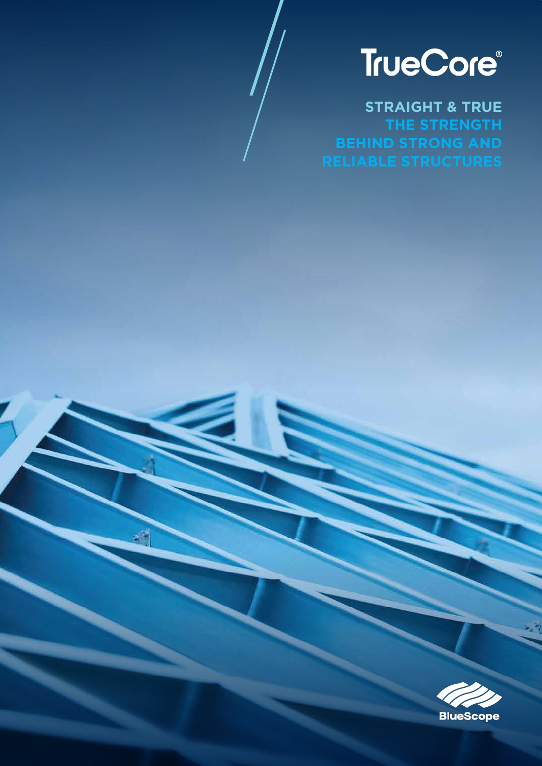

**STRAIGHT & TRUE THE STRENGTH**

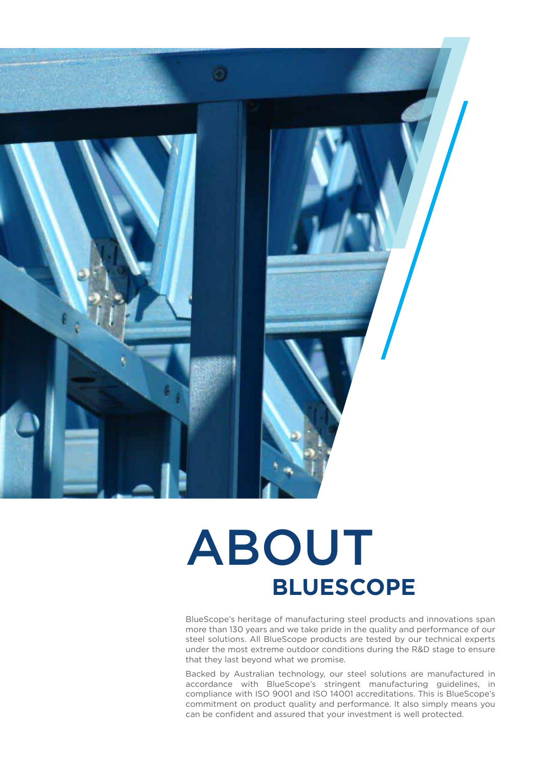

# ABOUT **BLUESCOPE**

BlueScope's heritage of manufacturing steel products and innovations span more than 130 years and we take pride in the quality and performance of our steel solutions. All BlueScope products are tested by our technical experts under the most extreme outdoor conditions during the R&D stage to ensure that they last beyond what we promise.

Backed by Australian technology, our steel solutions are manufactured in accordance with BlueScope's stringent manufacturing guidelines, in compliance with ISO 9001 and ISO 14001 accreditations. This is BlueScope's commitment on product quality and performance. It also simply means you can be confident and assured that your investment is well protected.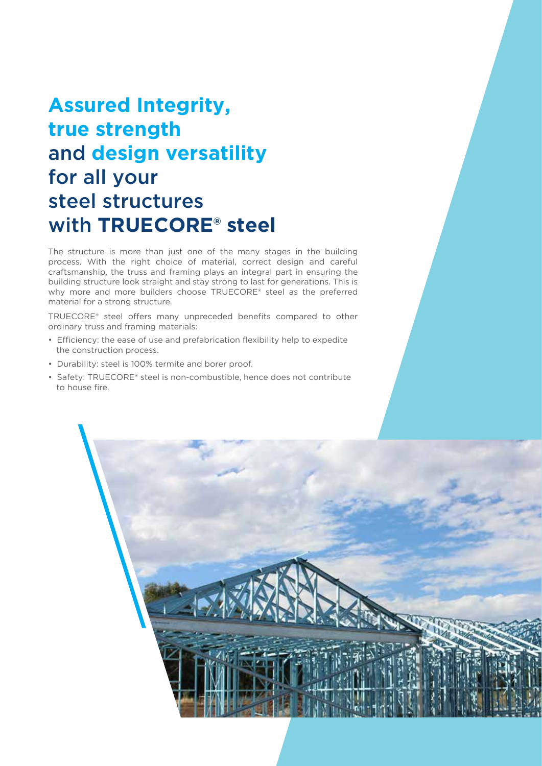## **Assured Integrity, true strength** and **design versatility**  for all your steel structures with **TRUECORE® steel**

The structure is more than just one of the many stages in the building process. With the right choice of material, correct design and careful craftsmanship, the truss and framing plays an integral part in ensuring the building structure look straight and stay strong to last for generations. This is why more and more builders choose TRUECORE® steel as the preferred material for a strong structure.

TRUECORE® steel offers many unpreceded benefits compared to other ordinary truss and framing materials:

- Efficiency: the ease of use and prefabrication flexibility help to expedite the construction process.
- Durability: steel is 100% termite and borer proof.
- Safety: TRUECORE® steel is non-combustible, hence does not contribute to house fire.

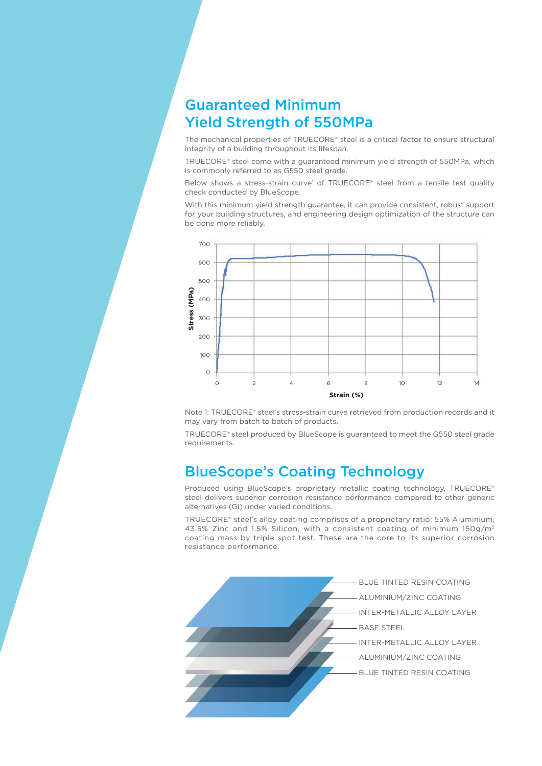### Guaranteed Minimum Yield Strength of 550MPa

The mechanical properties of TRUECORE® steel is a critical factor to ensure structural integrity of a building throughout its lifespan.

TRUECORE® steel come with a guaranteed minimum yield strength of 550MPa, which is commonly referred to as G550 steel grade.

Below shows a stress-strain curve<sup>1</sup> of TRUECORE® steel from a tensile test quality check conducted by BlueScope.

With this minimum yield strength guarantee, it can provide consistent, robust support for your building structures, and engineering design optimization of the structure can be done more reliably.



Note 1: TRUECORE® steel's stress-strain curve retrieved from production records and it may vary from batch to batch of products.

TRUECORE® steel produced by BlueScope is guaranteed to meet the G550 steel grade requirements.

### BlueScope's Coating Technology

Produced using BlueScope's proprietary metallic coating technology, TRUECORE® steel delivers superior corrosion resistance performance compared to other generic alternatives (GI) under varied conditions.

TRUECORE® steel's alloy coating comprises of a proprietary ratio: 55% Aluminium, 43.5% Zinc and 1.5% Silicon, with a consistent coating of minimum 150g/m<sup>2</sup> coating mass by triple spot test. These are the core to its superior corrosion resistance performance.

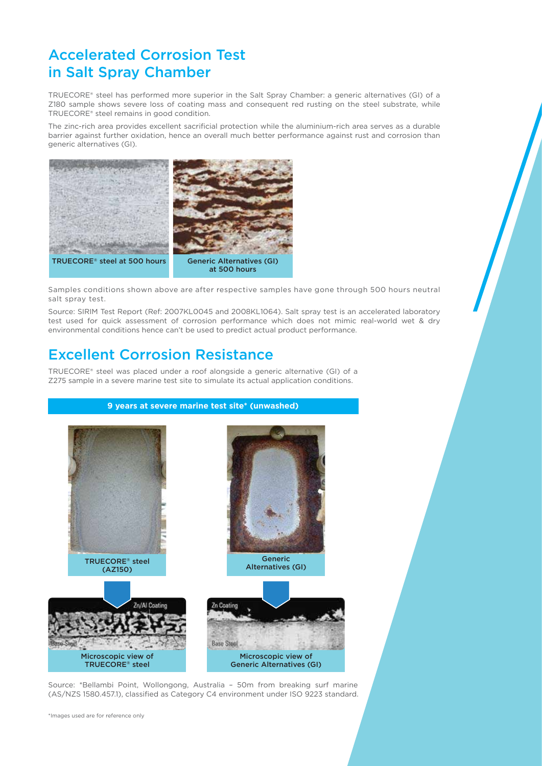### Accelerated Corrosion Test in Salt Spray Chamber

TRUECORE® steel has performed more superior in the Salt Spray Chamber: a generic alternatives (GI) of a Z180 sample shows severe loss of coating mass and consequent red rusting on the steel substrate, while TRUECORE® steel remains in good condition.

The zinc-rich area provides excellent sacrificial protection while the aluminium-rich area serves as a durable barrier against further oxidation, hence an overall much better performance against rust and corrosion than generic alternatives (GI).



Samples conditions shown above are after respective samples have gone through 500 hours neutral salt spray test.

Source: SIRIM Test Report (Ref: 2007KL0045 and 2008KL1064). Salt spray test is an accelerated laboratory test used for quick assessment of corrosion performance which does not mimic real-world wet & dry environmental conditions hence can't be used to predict actual product performance.

### Excellent Corrosion Resistance

TRUECORE® steel was placed under a roof alongside a generic alternative (GI) of a Z275 sample in a severe marine test site to simulate its actual application conditions.



Source: \*Bellambi Point, Wollongong, Australia – 50m from breaking surf marine (AS/NZS 1580.457.1), classified as Category C4 environment under ISO 9223 standard.

#### **9 years at severe marine test site\* (unwashed)**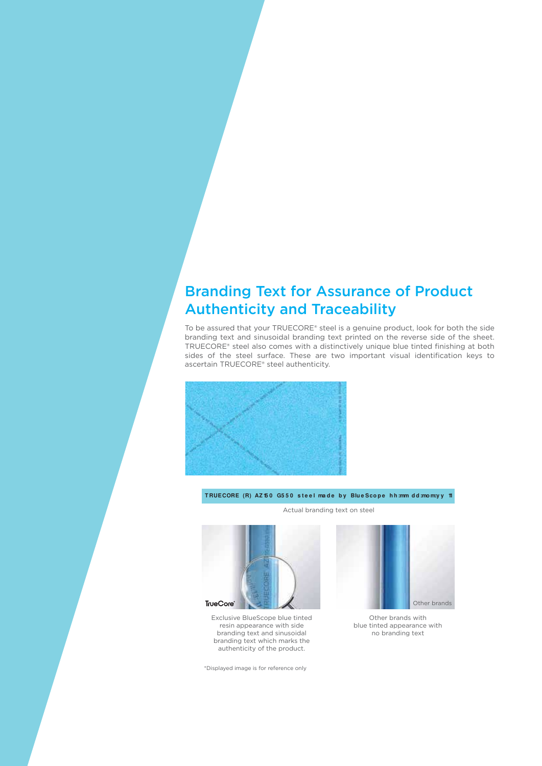### Branding Text for Assurance of Product Authenticity and Traceability

To be assured that your TRUECORE® steel is a genuine product, look for both the side branding text and sinusoidal branding text printed on the reverse side of the sheet. TRUECORE® steel also comes with a distinctively unique blue tinted finishing at both sides of the steel surface. These are two important visual identification keys to ascertain TRUECORE® steel authenticity.



TRUECORE (R) AZ 150 G550 steel made by BlueScope hh:mm dd:mom:yy 11

Actual branding text on steel



Exclusive BlueScope blue tinted resin appearance with side branding text and sinusoidal branding text which marks the authenticity of the product.





Other brands with blue tinted appearance with no branding text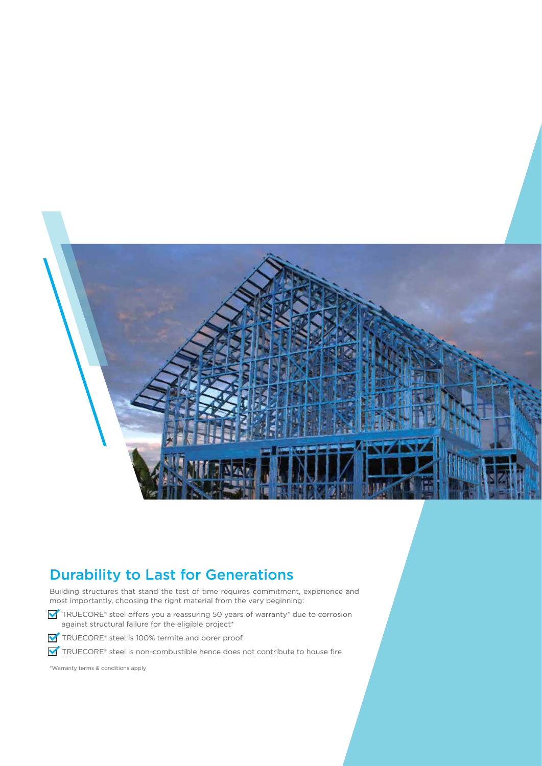

### Durability to Last for Generations

Building structures that stand the test of time requires commitment, experience and most importantly, choosing the right material from the very beginning:

- TRUECORE® steel offers you a reassuring 50 years of warranty\* due to corrosion against structural failure for the eligible project\*
- TRUECORE® steel is 100% termite and borer proof
- TRUECORE® steel is non-combustible hence does not contribute to house fire

\*Warranty terms & conditions apply